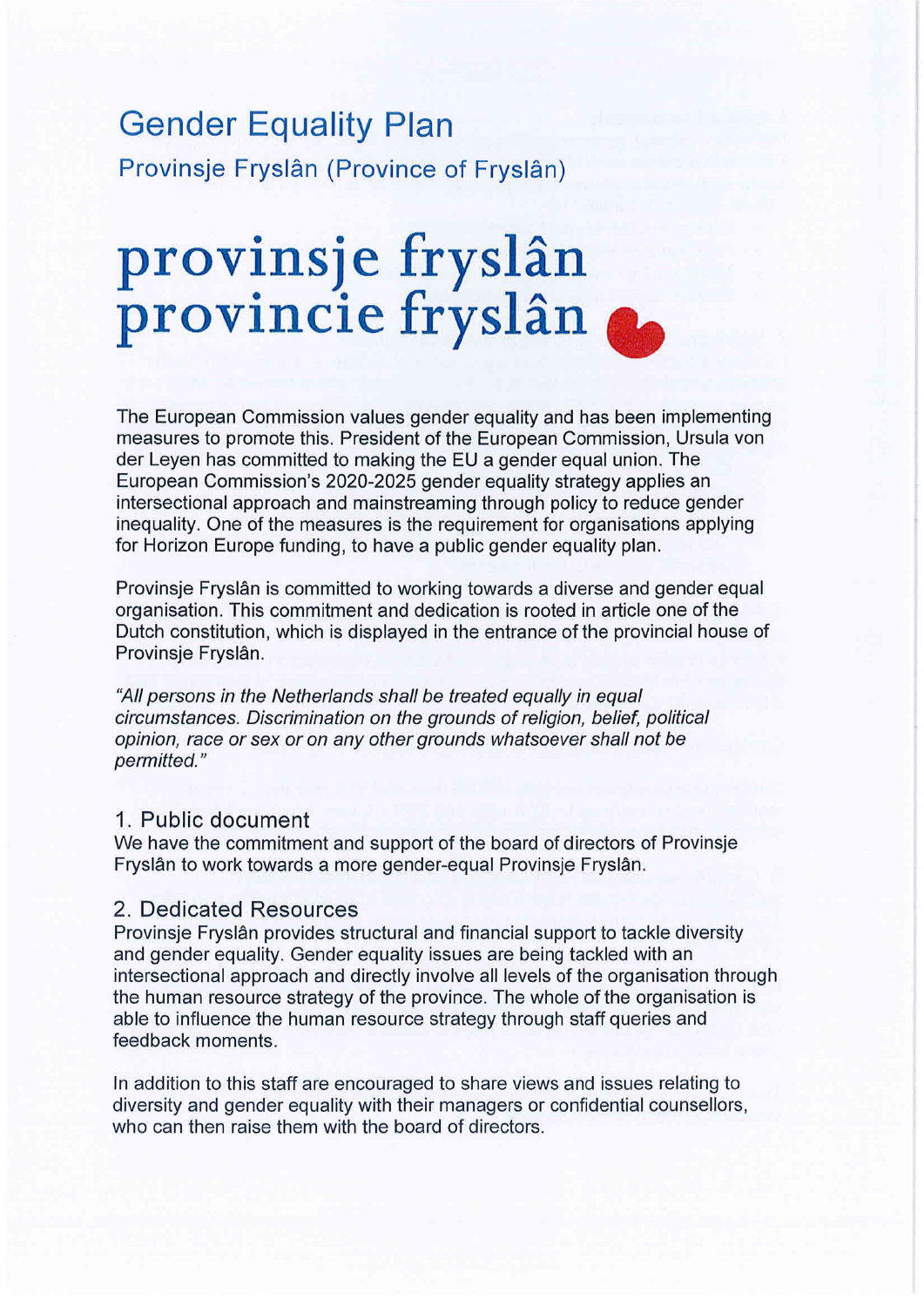## The European Commission values gender equality and has been implementing measures to promote this. Provinsje Fryslân (Province of Fryslân) Gender Equality Plan

### $\mathbf{r}$ requirement for  $\mathbf{r}$   $\mathbf{r}$  and  $\mathbf{r}$   $\mathbf{r}$   $\mathbf{r}$   $\mathbf{r}$   $\mathbf{r}$   $\mathbf{r}$   $\mathbf{r}$   $\mathbf{r}$   $\mathbf{r}$   $\mathbf{r}$   $\mathbf{r}$   $\mathbf{r}$   $\mathbf{r}$   $\mathbf{r}$   $\mathbf{r}$   $\mathbf{r}$   $\mathbf{r}$   $\mathbf{r}$   $\mathbf{r}$   $\mathbf$  $P(X|X) = P(X|X)P(X|X)P(X|X)P(X|X)P(X|X)P(X|X|X)P(X|X|X)P(X|X|X)P(X|X|X)P(X|X|X)P(X|X|X)P(X|X|X)P(X|X|X)P(X|X|X)P(X|X|X)P(X|X|X)P(X|X|X)P(X|X|X)P(X|X|X)P(X|X|X)P(X|X|X)P(X|X|X)P(X|X|X)P(X|X|X)P(X|X|X)P(X|X|X)P(X|X|X)P(X|X|X)P(X|X|X)P(X|X|X)P(X|X|X)P(X|X|X)$ provincie in yordin and  $\sim$ entrance of the provincial house of Provinsje Fryslân. provinsje fryslân provincie fryslan

The European Commission values gender equality and has been implementing measures to promote this. President of the European Commission, Ursula von der Leyen has committed to making the EU a gender equal union. The **1 Public document** intersectional approach and mainstreaming through policy to reduce gender inequality. One of the measures is the requirement for organisations applying for Horizon Europe funding, to have a public gender equality plan. European Commission's 2020-2025 gender equality strategy applies an

Provinsje Fryslân is committed to working towards a diverse and gender equal organisation. This commitment and dedication is rooted in article one of the Dutch constitution, which is displayed in the entrance of the provincial house of organisation through the human resource strategy of the province. The organisation is able to the organisation is able to the organisation is able to the organisation is able to the organisation is able to the organisation

to infuence the human resource strategy through staff queries and feedback moments. circumstances. Discrimination on the grounds of religion, belief, political opinion, race or sex or on any other grounds whatsoever shall not be "All persons in the Netherlands shall be treated equally in equal permitted."

# 1. Public document has put a number legal requirements in place that aim to promote work-

we have the commitment and support of the board of directors of Provinsje all of the state include the state of the state to the Theorem in the Theorem is a model to the Theorem in the Fryslân to work towards a more gender-equal Provinsje Fryslân.

#### 2. Dedicated Resources  $\epsilon$ , Deural Resources

Provinsje Fryslân provides structural and financial support to tackle diversity intersectional approach and directly involve all levels of the organisation through<br>the human approach that must be appriced. The whale of the organization is the human resource strategy of the province. The whole of the organisation is<br>child to influence the human resource stategy through the formal organisation is able to influence the human resource strategy through staff queries and  $f_{\text{rel}}$ building a fulfilling career. Provinsies Fryslân has implemented a number of measures to promote a positive a positive a positive a positive a positive a positive a positive and a positive and a positive and a positive and and gender equality. Gender equality issues are being tackled with an feedback moments.

In addition to this staff are encouraged to share views and issues relating to In dudition to this stan are encouraged to share views and issues relating to diversity and gender equality with their managers or confidential counsellors, who can then selecthers with the beard of who can then raise them with the board of directors.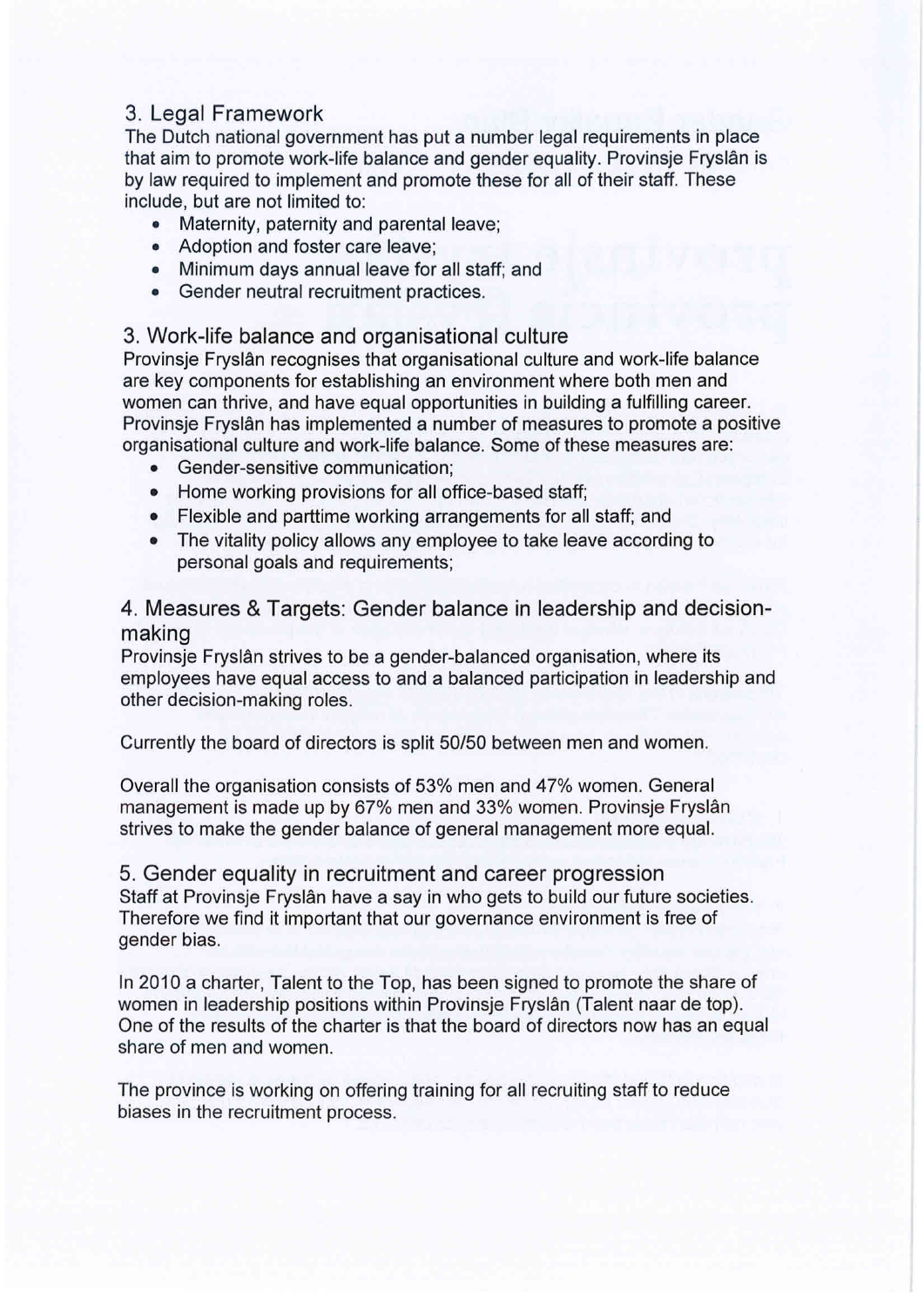## and a balanced participation in leadership and other decision-making roles. The contract roles in leadership and other decision-making roles. The contract roles in leadership and other decision-making roles. The contract r

that aim to promote work-life balance and gender equality. Provinsje Fryslân is include, but are not limited to: example is made up by 67% women. General management is made up by 67% women. General management is made up by 67% women. General management is made up by 67% women. The construction of the The Dutch national government has put a number legal requirements in place by law required to implement and promote these for all of their staff. These

- Maternity, paternity and parental leave;<br>• Maternity, paternity and parental leave;
	- Adoption and foster care leave;
	- Minimum days annual leave for all staff; and
- Gender neutral recruitment practices. Staff at Provinsie Fryslân have a saw in who gets to build our future societies. Therefore we find it were well in the forest our future societies. The forest our future societies were well in the forest our future societi

# 3. Work-life balance and organisational culture

In 2011 a charge to tystall recognises that organisational calladers and work life salarise.<br>are key components for establishing an environment where both men and are key components for establishing an environment where boar men and women can thrive, and have equal opportunities in building a fulfilling career. women can anive, and have equal opportunities in ballang a railing career.<br>Provinsje Fryslân has implemented a number of measures to promote a positive organisational culture and work-life balance. Some of these measures are:<br>Condex consitive annumination: Provinsje Fryslân recognises that organisational culture and work-life balance

- Gender-sensitive communication;
- Home working provisions for all office-based staff;

• An external organisation for investigation when misconduct is suspected;

- Flexible and parttime working arrangements for all staff; and
- The vitality policy allows any employee to take leave according to personal goals and requirements; generally, general personal goals and requirements;

### 4. Measures & Targets: Gender balance in leadership and decisionmaking

Provinsje Fryslân strives to be a gender-balanced organisation, where its employees have equal access to and a balanced participation in leadership and other decision-making roles.

Currently the board of directors is split 50/50 between men and women.

Overall the organisation consists of 53% men and 47% women. General management is made up by 67% men and 33% women. Provinsje Fryslân strives to make the gender balance of general management more equal.

5. Gender equality in recruitment and career progression Staff at Provinsje Fryslân have a say in who gets to build our future societies. Therefore we find it important that our governance environment is free of gender bias.

In 2010 a charter, Talent to the Top, has been signed to promote the share of women in leadership positions within Provinsje Fryslân (Talent naar de top). One of the results of the charter is that the board of directors now has an equal share of men and women.

The province is working on offering training for all recruiting staff to reduce biases in the recruitment process.